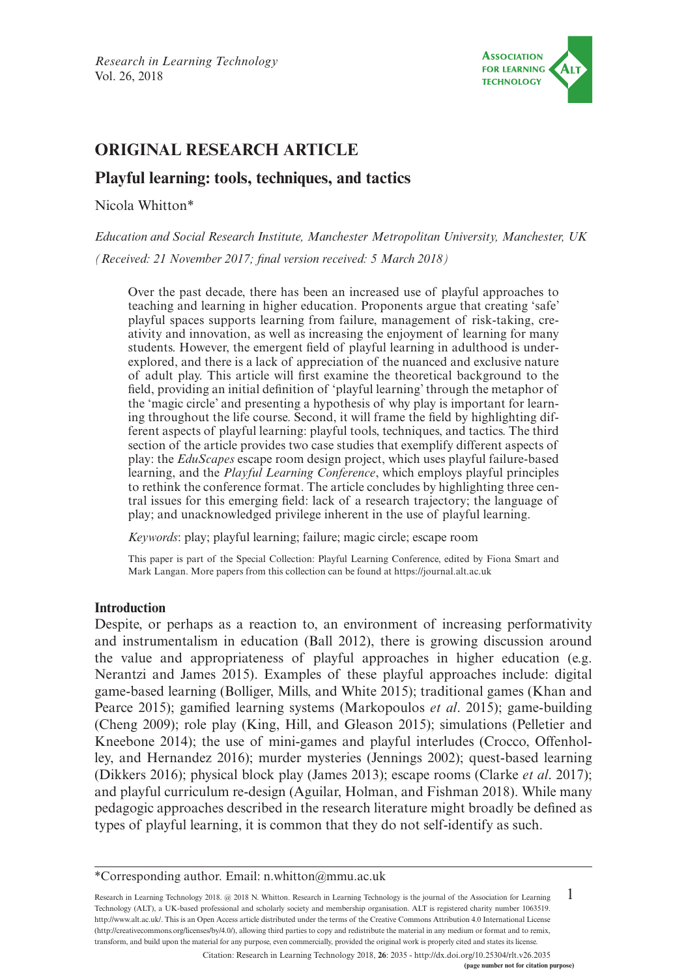

# **ORIGINAL RESEARCH ARTICLE**

# **Playful learning: tools, techniques, and tactics**

Nicola Whitton\*

*Education and Social Research Institute, Manchester Metropolitan University, Manchester, UK*

*(Received: 21 November 2017; final version received: 5 March 2018)*

Over the past decade, there has been an increased use of playful approaches to teaching and learning in higher education. Proponents argue that creating 'safe' playful spaces supports learning from failure, management of risk-taking, creativity and innovation, as well as increasing the enjoyment of learning for many students. However, the emergent field of playful learning in adulthood is underexplored, and there is a lack of appreciation of the nuanced and exclusive nature of adult play. This article will first examine the theoretical background to the field, providing an initial definition of 'playful learning' through the metaphor of the 'magic circle' and presenting a hypothesis of why play is important for learning throughout the life course. Second, it will frame the field by highlighting different aspects of playful learning: playful tools, techniques, and tactics. The third section of the article provides two case studies that exemplify different aspects of play: the *EduScapes* escape room design project, which uses playful failure-based learning, and the *Playful Learning Conference*, which employs playful principles to rethink the conference format. The article concludes by highlighting three central issues for this emerging field: lack of a research trajectory; the language of play; and unacknowledged privilege inherent in the use of playful learning.

*Keywords*: play; playful learning; failure; magic circle; escape room

This paper is part of the Special Collection: Playful Learning Conference, edited by Fiona Smart and Mark Langan. More papers from this collection can be found at <https://journal.alt.ac.uk>

# **Introduction**

Despite, or perhaps as a reaction to, an environment of increasing performativity and instrumentalism in education (Ball 2012), there is growing discussion around the value and appropriateness of playful approaches in higher education (e.g. Nerantzi and James 2015). Examples of these playful approaches include: digital game-based learning (Bolliger, Mills, and White 2015); traditional games (Khan and Pearce 2015); gamified learning systems (Markopoulos *et al*. 2015); game-building (Cheng 2009); role play (King, Hill, and Gleason 2015); simulations (Pelletier and Kneebone 2014); the use of mini-games and playful interludes (Crocco, Offenholley, and Hernandez 2016); murder mysteries (Jennings 2002); quest-based learning (Dikkers 2016); physical block play (James 2013); escape rooms (Clarke *et al*. 2017); and playful curriculum re-design (Aguilar, Holman, and Fishman 2018). While many pedagogic approaches described in the research literature might broadly be defined as types of playful learning, it is common that they do not self-identify as such.

1 Research in Learning Technology 2018. @ 2018 N. Whitton. Research in Learning Technology is the journal of the Association for Learning Technology (ALT), a UK-based professional and scholarly society and membership organisation. ALT is registered charity number 1063519. [http://www.alt.ac.uk/.](http://www.alt.ac.uk/) This is an Open Access article distributed under the terms of the Creative Commons Attribution 4.0 International License (<http://creativecommons.org/licenses/by/4.0/>), allowing third parties to copy and redistribute the material in any medium or format and to remix, transform, and build upon the material for any purpose, even commercially, provided the original work is properly cited and states its license.

Citation: Research in Learning Technology 2018, **26**: 2035 - <http://dx.doi.org/10.25304/rlt.v26.2035>

<sup>\*</sup>Corresponding author. Email: [n.whitton@mmu.ac.uk](mailto:n.whitton@mmu.ac.uk)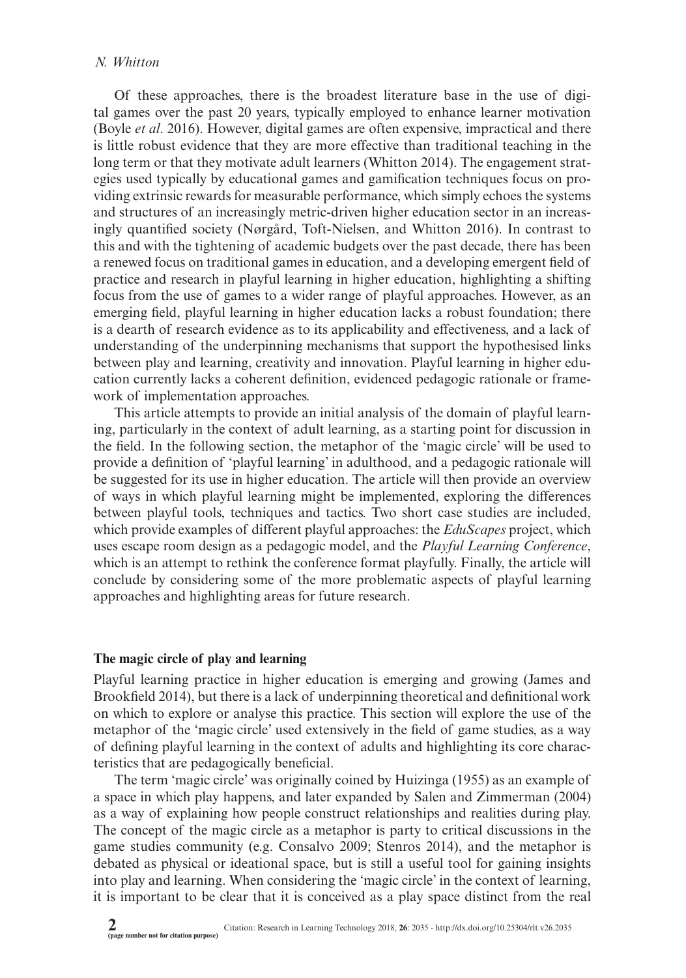# *N. Whitton*

Of these approaches, there is the broadest literature base in the use of digital games over the past 20 years, typically employed to enhance learner motivation (Boyle *et al*. 2016). However, digital games are often expensive, impractical and there is little robust evidence that they are more effective than traditional teaching in the long term or that they motivate adult learners (Whitton 2014). The engagement strategies used typically by educational games and gamification techniques focus on providing extrinsic rewards for measurable performance, which simply echoes the systems and structures of an increasingly metric-driven higher education sector in an increasingly quantified society (Nørgård, Toft-Nielsen, and Whitton 2016). In contrast to this and with the tightening of academic budgets over the past decade, there has been a renewed focus on traditional games in education, and a developing emergent field of practice and research in playful learning in higher education, highlighting a shifting focus from the use of games to a wider range of playful approaches. However, as an emerging field, playful learning in higher education lacks a robust foundation; there is a dearth of research evidence as to its applicability and effectiveness, and a lack of understanding of the underpinning mechanisms that support the hypothesised links between play and learning, creativity and innovation. Playful learning in higher education currently lacks a coherent definition, evidenced pedagogic rationale or framework of implementation approaches.

This article attempts to provide an initial analysis of the domain of playful learning, particularly in the context of adult learning, as a starting point for discussion in the field. In the following section, the metaphor of the 'magic circle' will be used to provide a definition of 'playful learning' in adulthood, and a pedagogic rationale will be suggested for its use in higher education. The article will then provide an overview of ways in which playful learning might be implemented, exploring the differences between playful tools, techniques and tactics. Two short case studies are included, which provide examples of different playful approaches: the *EduScapes* project, which uses escape room design as a pedagogic model, and the *Playful Learning Conference*, which is an attempt to rethink the conference format playfully. Finally, the article will conclude by considering some of the more problematic aspects of playful learning approaches and highlighting areas for future research.

# **The magic circle of play and learning**

Playful learning practice in higher education is emerging and growing (James and Brookfield 2014), but there is a lack of underpinning theoretical and definitional work on which to explore or analyse this practice. This section will explore the use of the metaphor of the 'magic circle' used extensively in the field of game studies, as a way of defining playful learning in the context of adults and highlighting its core characteristics that are pedagogically beneficial.

The term 'magic circle' was originally coined by Huizinga (1955) as an example of a space in which play happens, and later expanded by Salen and Zimmerman (2004) as a way of explaining how people construct relationships and realities during play. The concept of the magic circle as a metaphor is party to critical discussions in the game studies community (e.g. Consalvo 2009; Stenros 2014), and the metaphor is debated as physical or ideational space, but is still a useful tool for gaining insights into play and learning. When considering the 'magic circle' in the context of learning, it is important to be clear that it is conceived as a play space distinct from the real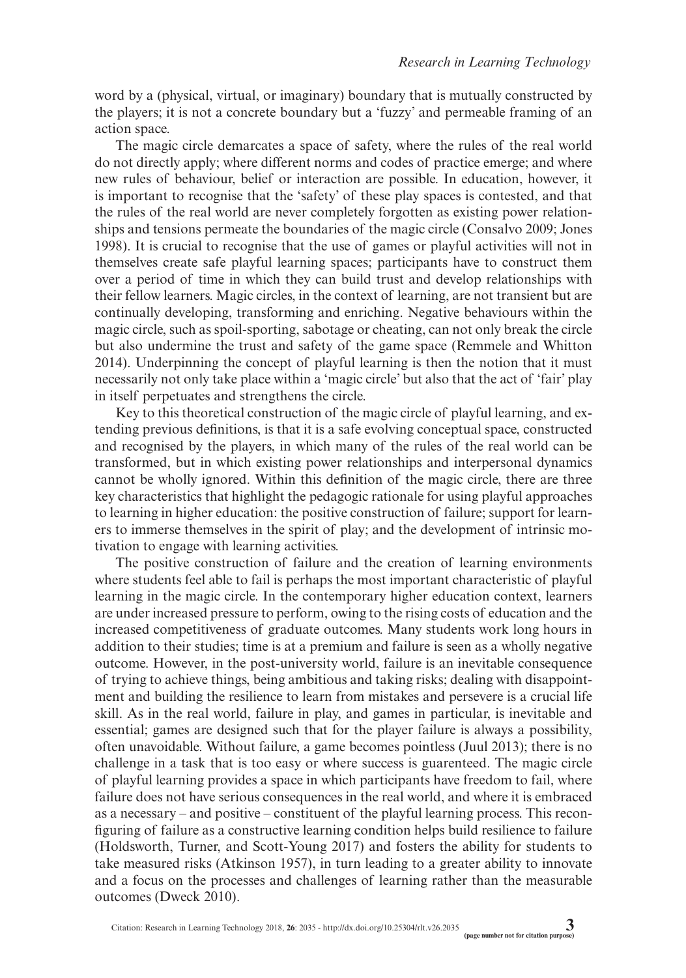word by a (physical, virtual, or imaginary) boundary that is mutually constructed by the players; it is not a concrete boundary but a 'fuzzy' and permeable framing of an action space.

The magic circle demarcates a space of safety, where the rules of the real world do not directly apply; where different norms and codes of practice emerge; and where new rules of behaviour, belief or interaction are possible. In education, however, it is important to recognise that the 'safety' of these play spaces is contested, and that the rules of the real world are never completely forgotten as existing power relationships and tensions permeate the boundaries of the magic circle (Consalvo 2009; Jones 1998). It is crucial to recognise that the use of games or playful activities will not in themselves create safe playful learning spaces; participants have to construct them over a period of time in which they can build trust and develop relationships with their fellow learners. Magic circles, in the context of learning, are not transient but are continually developing, transforming and enriching. Negative behaviours within the magic circle, such as spoil-sporting, sabotage or cheating, can not only break the circle but also undermine the trust and safety of the game space (Remmele and Whitton 2014). Underpinning the concept of playful learning is then the notion that it must necessarily not only take place within a 'magic circle' but also that the act of 'fair' play in itself perpetuates and strengthens the circle.

Key to this theoretical construction of the magic circle of playful learning, and extending previous definitions, is that it is a safe evolving conceptual space, constructed and recognised by the players, in which many of the rules of the real world can be transformed, but in which existing power relationships and interpersonal dynamics cannot be wholly ignored. Within this definition of the magic circle, there are three key characteristics that highlight the pedagogic rationale for using playful approaches to learning in higher education: the positive construction of failure; support for learners to immerse themselves in the spirit of play; and the development of intrinsic motivation to engage with learning activities.

The positive construction of failure and the creation of learning environments where students feel able to fail is perhaps the most important characteristic of playful learning in the magic circle. In the contemporary higher education context, learners are under increased pressure to perform, owing to the rising costs of education and the increased competitiveness of graduate outcomes. Many students work long hours in addition to their studies; time is at a premium and failure is seen as a wholly negative outcome. However, in the post-university world, failure is an inevitable consequence of trying to achieve things, being ambitious and taking risks; dealing with disappointment and building the resilience to learn from mistakes and persevere is a crucial life skill. As in the real world, failure in play, and games in particular, is inevitable and essential; games are designed such that for the player failure is always a possibility, often unavoidable. Without failure, a game becomes pointless (Juul 2013); there is no challenge in a task that is too easy or where success is guarenteed. The magic circle of playful learning provides a space in which participants have freedom to fail, where failure does not have serious consequences in the real world, and where it is embraced as a necessary – and positive – constituent of the playful learning process. This reconfiguring of failure as a constructive learning condition helps build resilience to failure (Holdsworth, Turner, and Scott-Young 2017) and fosters the ability for students to take measured risks (Atkinson 1957), in turn leading to a greater ability to innovate and a focus on the processes and challenges of learning rather than the measurable outcomes (Dweck 2010).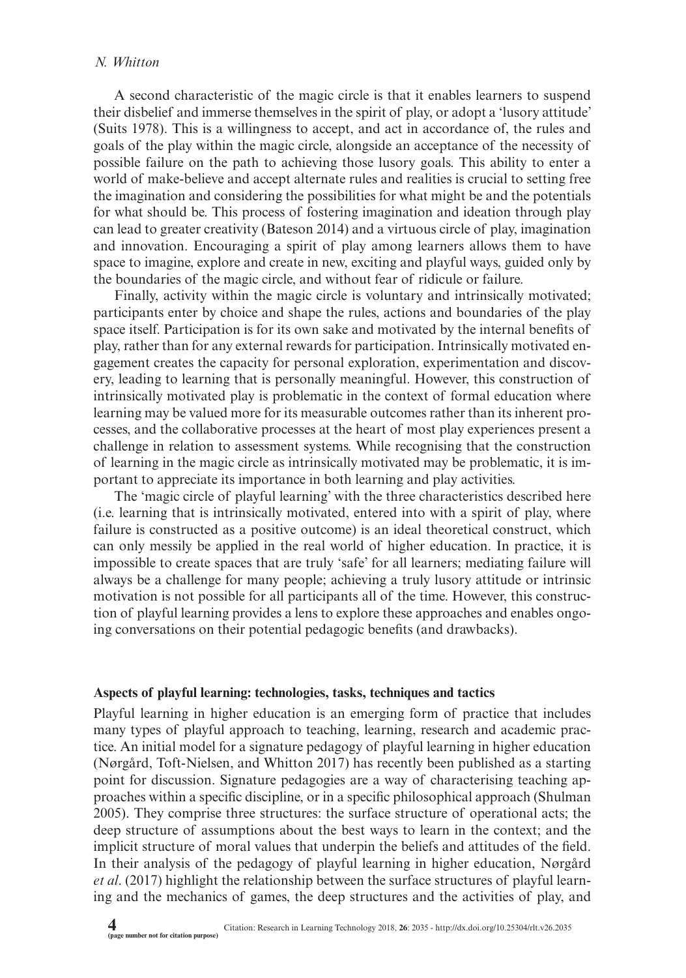# *N. Whitton*

A second characteristic of the magic circle is that it enables learners to suspend their disbelief and immerse themselves in the spirit of play, or adopt a 'lusory attitude' (Suits 1978). This is a willingness to accept, and act in accordance of, the rules and goals of the play within the magic circle, alongside an acceptance of the necessity of possible failure on the path to achieving those lusory goals. This ability to enter a world of make-believe and accept alternate rules and realities is crucial to setting free the imagination and considering the possibilities for what might be and the potentials for what should be. This process of fostering imagination and ideation through play can lead to greater creativity (Bateson 2014) and a virtuous circle of play, imagination and innovation. Encouraging a spirit of play among learners allows them to have space to imagine, explore and create in new, exciting and playful ways, guided only by the boundaries of the magic circle, and without fear of ridicule or failure.

Finally, activity within the magic circle is voluntary and intrinsically motivated; participants enter by choice and shape the rules, actions and boundaries of the play space itself. Participation is for its own sake and motivated by the internal benefits of play, rather than for any external rewards for participation. Intrinsically motivated engagement creates the capacity for personal exploration, experimentation and discovery, leading to learning that is personally meaningful. However, this construction of intrinsically motivated play is problematic in the context of formal education where learning may be valued more for its measurable outcomes rather than its inherent processes, and the collaborative processes at the heart of most play experiences present a challenge in relation to assessment systems. While recognising that the construction of learning in the magic circle as intrinsically motivated may be problematic, it is important to appreciate its importance in both learning and play activities.

The 'magic circle of playful learning' with the three characteristics described here (i.e. learning that is intrinsically motivated, entered into with a spirit of play, where failure is constructed as a positive outcome) is an ideal theoretical construct, which can only messily be applied in the real world of higher education. In practice, it is impossible to create spaces that are truly 'safe' for all learners; mediating failure will always be a challenge for many people; achieving a truly lusory attitude or intrinsic motivation is not possible for all participants all of the time. However, this construction of playful learning provides a lens to explore these approaches and enables ongoing conversations on their potential pedagogic benefits (and drawbacks).

# **Aspects of playful learning: technologies, tasks, techniques and tactics**

Playful learning in higher education is an emerging form of practice that includes many types of playful approach to teaching, learning, research and academic practice. An initial model for a signature pedagogy of playful learning in higher education (Nørgård, Toft-Nielsen, and Whitton 2017) has recently been published as a starting point for discussion. Signature pedagogies are a way of characterising teaching approaches within a specific discipline, or in a specific philosophical approach (Shulman 2005). They comprise three structures: the surface structure of operational acts; the deep structure of assumptions about the best ways to learn in the context; and the implicit structure of moral values that underpin the beliefs and attitudes of the field. In their analysis of the pedagogy of playful learning in higher education, Nørgård *et al*. (2017) highlight the relationship between the surface structures of playful learning and the mechanics of games, the deep structures and the activities of play, and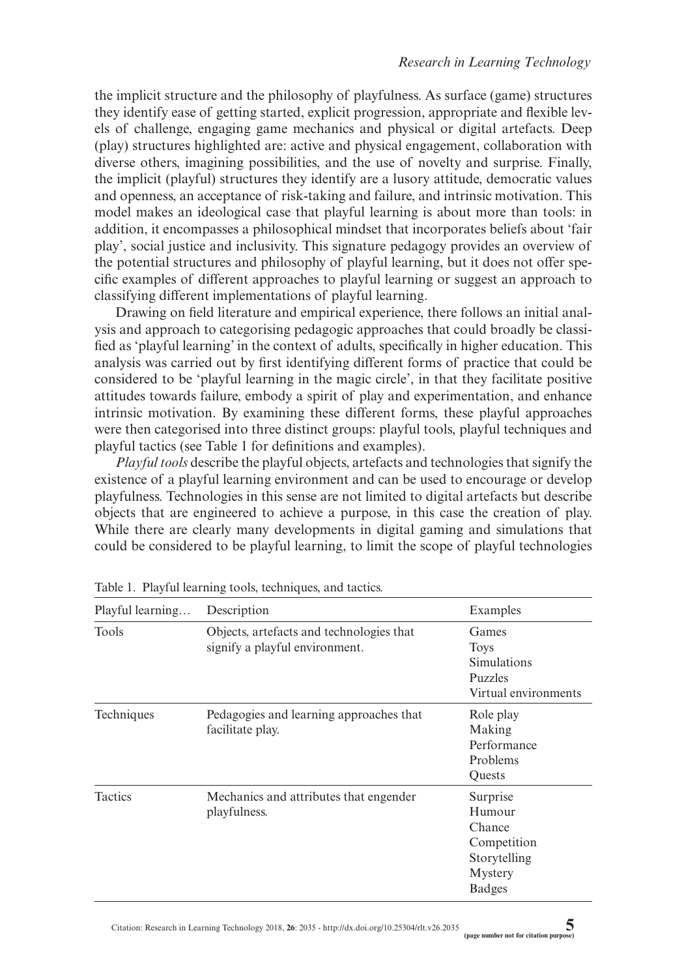the implicit structure and the philosophy of playfulness. As surface (game) structures they identify ease of getting started, explicit progression, appropriate and flexible levels of challenge, engaging game mechanics and physical or digital artefacts. Deep (play) structures highlighted are: active and physical engagement, collaboration with diverse others, imagining possibilities, and the use of novelty and surprise. Finally, the implicit (playful) structures they identify are a lusory attitude, democratic values and openness, an acceptance of risk-taking and failure, and intrinsic motivation. This model makes an ideological case that playful learning is about more than tools: in addition, it encompasses a philosophical mindset that incorporates beliefs about 'fair play', social justice and inclusivity. This signature pedagogy provides an overview of the potential structures and philosophy of playful learning, but it does not offer specific examples of different approaches to playful learning or suggest an approach to classifying different implementations of playful learning.

Drawing on field literature and empirical experience, there follows an initial analysis and approach to categorising pedagogic approaches that could broadly be classified as 'playful learning' in the context of adults, specifically in higher education. This analysis was carried out by first identifying different forms of practice that could be considered to be 'playful learning in the magic circle', in that they facilitate positive attitudes towards failure, embody a spirit of play and experimentation, and enhance intrinsic motivation. By examining these different forms, these playful approaches were then categorised into three distinct groups: playful tools, playful techniques and playful tactics (see Table 1 for definitions and examples).

*Playful tools* describe the playful objects, artefacts and technologies that signify the existence of a playful learning environment and can be used to encourage or develop playfulness. Technologies in this sense are not limited to digital artefacts but describe objects that are engineered to achieve a purpose, in this case the creation of play. While there are clearly many developments in digital gaming and simulations that could be considered to be playful learning, to limit the scope of playful technologies

| Playful learning | Description                                                                | Examples                                                                                |
|------------------|----------------------------------------------------------------------------|-----------------------------------------------------------------------------------------|
| Tools            | Objects, artefacts and technologies that<br>signify a playful environment. | Games<br><b>Toys</b><br><b>Simulations</b><br><b>Puzzles</b><br>Virtual environments    |
| Techniques       | Pedagogies and learning approaches that<br>facilitate play.                | Role play<br>Making<br>Performance<br>Problems<br>Quests                                |
| Tactics          | Mechanics and attributes that engender<br>playfulness.                     | Surprise<br>Humour<br>Chance<br>Competition<br>Storytelling<br>Mystery<br><b>Badges</b> |

Table 1. Playful learning tools, techniques, and tactics.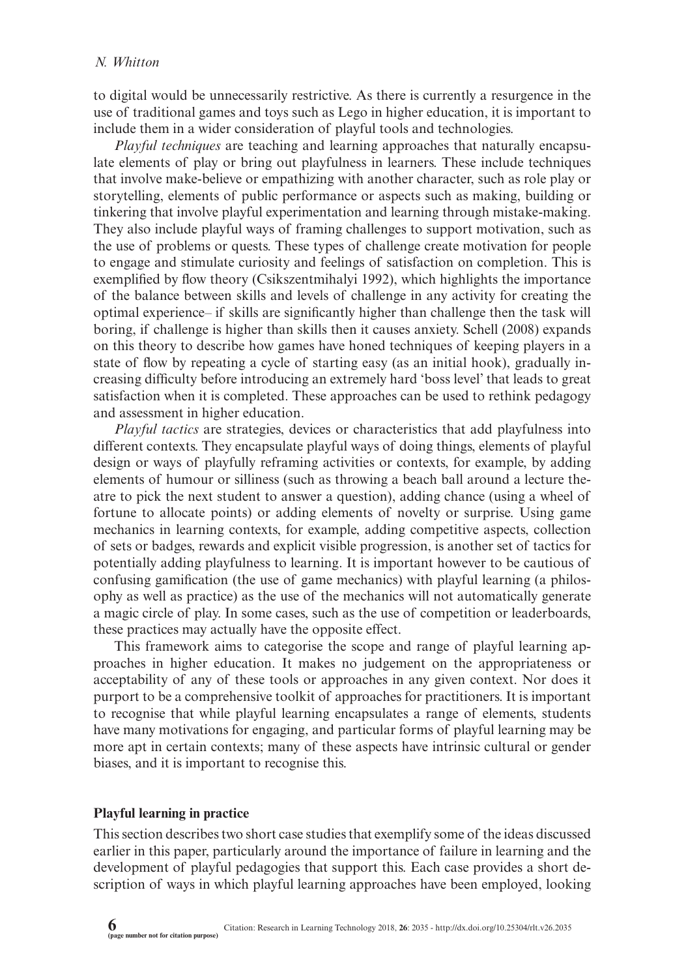to digital would be unnecessarily restrictive. As there is currently a resurgence in the use of traditional games and toys such as Lego in higher education, it is important to include them in a wider consideration of playful tools and technologies.

*Playful techniques* are teaching and learning approaches that naturally encapsulate elements of play or bring out playfulness in learners. These include techniques that involve make-believe or empathizing with another character, such as role play or storytelling, elements of public performance or aspects such as making, building or tinkering that involve playful experimentation and learning through mistake-making. They also include playful ways of framing challenges to support motivation, such as the use of problems or quests. These types of challenge create motivation for people to engage and stimulate curiosity and feelings of satisfaction on completion. This is exemplified by flow theory (Csikszentmihalyi 1992), which highlights the importance of the balance between skills and levels of challenge in any activity for creating the optimal experience– if skills are significantly higher than challenge then the task will boring, if challenge is higher than skills then it causes anxiety. Schell (2008) expands on this theory to describe how games have honed techniques of keeping players in a state of flow by repeating a cycle of starting easy (as an initial hook), gradually increasing difficulty before introducing an extremely hard 'boss level' that leads to great satisfaction when it is completed. These approaches can be used to rethink pedagogy and assessment in higher education.

*Playful tactics* are strategies, devices or characteristics that add playfulness into different contexts. They encapsulate playful ways of doing things, elements of playful design or ways of playfully reframing activities or contexts, for example, by adding elements of humour or silliness (such as throwing a beach ball around a lecture theatre to pick the next student to answer a question), adding chance (using a wheel of fortune to allocate points) or adding elements of novelty or surprise. Using game mechanics in learning contexts, for example, adding competitive aspects, collection of sets or badges, rewards and explicit visible progression, is another set of tactics for potentially adding playfulness to learning. It is important however to be cautious of confusing gamification (the use of game mechanics) with playful learning (a philosophy as well as practice) as the use of the mechanics will not automatically generate a magic circle of play. In some cases, such as the use of competition or leaderboards, these practices may actually have the opposite effect.

This framework aims to categorise the scope and range of playful learning approaches in higher education. It makes no judgement on the appropriateness or acceptability of any of these tools or approaches in any given context. Nor does it purport to be a comprehensive toolkit of approaches for practitioners. It is important to recognise that while playful learning encapsulates a range of elements, students have many motivations for engaging, and particular forms of playful learning may be more apt in certain contexts; many of these aspects have intrinsic cultural or gender biases, and it is important to recognise this.

#### **Playful learning in practice**

This section describes two short case studies that exemplify some of the ideas discussed earlier in this paper, particularly around the importance of failure in learning and the development of playful pedagogies that support this. Each case provides a short description of ways in which playful learning approaches have been employed, looking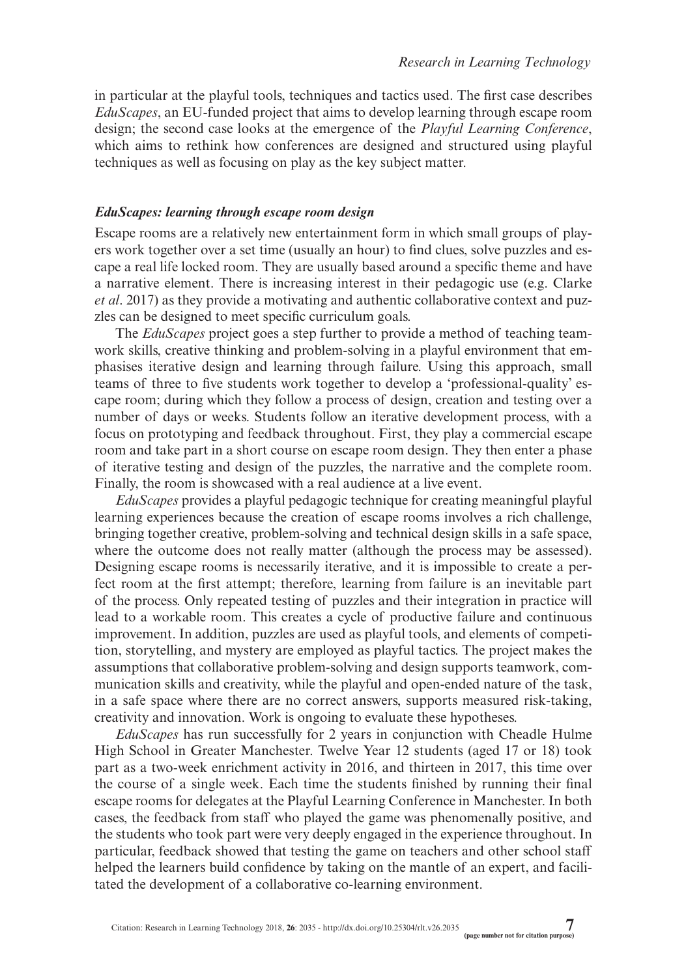in particular at the playful tools, techniques and tactics used. The first case describes *EduScapes*, an EU-funded project that aims to develop learning through escape room design; the second case looks at the emergence of the *Playful Learning Conference*, which aims to rethink how conferences are designed and structured using playful techniques as well as focusing on play as the key subject matter.

# *EduScapes: learning through escape room design*

Escape rooms are a relatively new entertainment form in which small groups of players work together over a set time (usually an hour) to find clues, solve puzzles and escape a real life locked room. They are usually based around a specific theme and have a narrative element. There is increasing interest in their pedagogic use (e.g. Clarke *et al*. 2017) as they provide a motivating and authentic collaborative context and puzzles can be designed to meet specific curriculum goals.

The *EduScapes* project goes a step further to provide a method of teaching teamwork skills, creative thinking and problem-solving in a playful environment that emphasises iterative design and learning through failure. Using this approach, small teams of three to five students work together to develop a 'professional-quality' escape room; during which they follow a process of design, creation and testing over a number of days or weeks. Students follow an iterative development process, with a focus on prototyping and feedback throughout. First, they play a commercial escape room and take part in a short course on escape room design. They then enter a phase of iterative testing and design of the puzzles, the narrative and the complete room. Finally, the room is showcased with a real audience at a live event.

*EduScapes* provides a playful pedagogic technique for creating meaningful playful learning experiences because the creation of escape rooms involves a rich challenge, bringing together creative, problem-solving and technical design skills in a safe space, where the outcome does not really matter (although the process may be assessed). Designing escape rooms is necessarily iterative, and it is impossible to create a perfect room at the first attempt; therefore, learning from failure is an inevitable part of the process. Only repeated testing of puzzles and their integration in practice will lead to a workable room. This creates a cycle of productive failure and continuous improvement. In addition, puzzles are used as playful tools, and elements of competition, storytelling, and mystery are employed as playful tactics. The project makes the assumptions that collaborative problem-solving and design supports teamwork, communication skills and creativity, while the playful and open-ended nature of the task, in a safe space where there are no correct answers, supports measured risk-taking, creativity and innovation. Work is ongoing to evaluate these hypotheses.

*EduScapes* has run successfully for 2 years in conjunction with Cheadle Hulme High School in Greater Manchester. Twelve Year 12 students (aged 17 or 18) took part as a two-week enrichment activity in 2016, and thirteen in 2017, this time over the course of a single week. Each time the students finished by running their final escape rooms for delegates at the Playful Learning Conference in Manchester. In both cases, the feedback from staff who played the game was phenomenally positive, and the students who took part were very deeply engaged in the experience throughout. In particular, feedback showed that testing the game on teachers and other school staff helped the learners build confidence by taking on the mantle of an expert, and facilitated the development of a collaborative co-learning environment.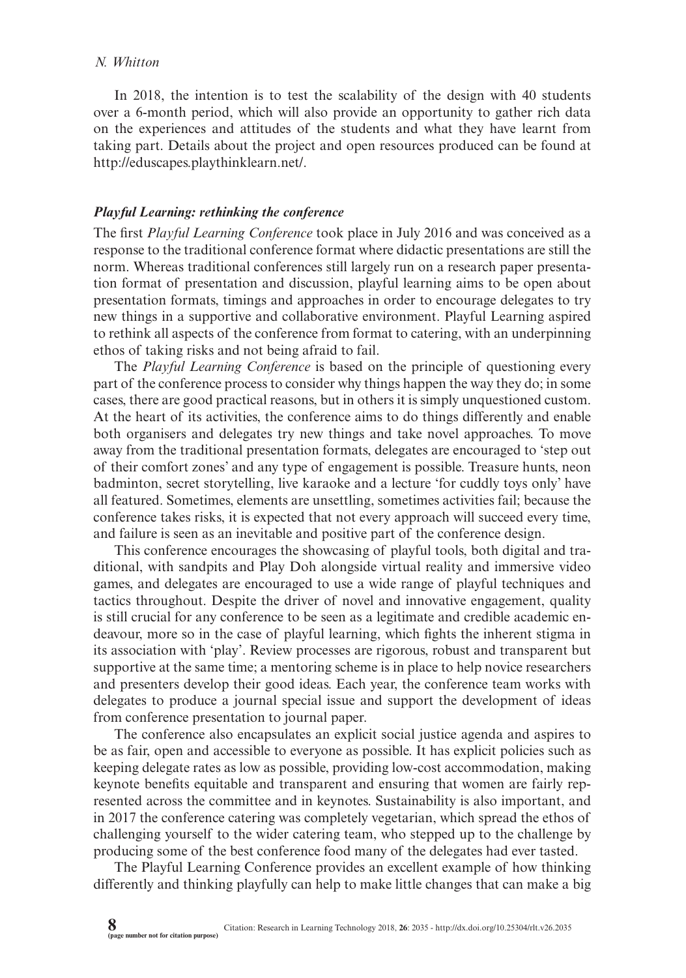#### *N. Whitton*

In 2018, the intention is to test the scalability of the design with 40 students over a 6-month period, which will also provide an opportunity to gather rich data on the experiences and attitudes of the students and what they have learnt from taking part. Details about the project and open resources produced can be found at <http://eduscapes.playthinklearn.net/>.

# *Playful Learning: rethinking the conference*

The first *Playful Learning Conference* took place in July 2016 and was conceived as a response to the traditional conference format where didactic presentations are still the norm. Whereas traditional conferences still largely run on a research paper presentation format of presentation and discussion, playful learning aims to be open about presentation formats, timings and approaches in order to encourage delegates to try new things in a supportive and collaborative environment. Playful Learning aspired to rethink all aspects of the conference from format to catering, with an underpinning ethos of taking risks and not being afraid to fail.

The *Playful Learning Conference* is based on the principle of questioning every part of the conference process to consider why things happen the way they do; in some cases, there are good practical reasons, but in others it is simply unquestioned custom. At the heart of its activities, the conference aims to do things differently and enable both organisers and delegates try new things and take novel approaches. To move away from the traditional presentation formats, delegates are encouraged to 'step out of their comfort zones' and any type of engagement is possible. Treasure hunts, neon badminton, secret storytelling, live karaoke and a lecture 'for cuddly toys only' have all featured. Sometimes, elements are unsettling, sometimes activities fail; because the conference takes risks, it is expected that not every approach will succeed every time, and failure is seen as an inevitable and positive part of the conference design.

This conference encourages the showcasing of playful tools, both digital and traditional, with sandpits and Play Doh alongside virtual reality and immersive video games, and delegates are encouraged to use a wide range of playful techniques and tactics throughout. Despite the driver of novel and innovative engagement, quality is still crucial for any conference to be seen as a legitimate and credible academic endeavour, more so in the case of playful learning, which fights the inherent stigma in its association with 'play'. Review processes are rigorous, robust and transparent but supportive at the same time; a mentoring scheme is in place to help novice researchers and presenters develop their good ideas. Each year, the conference team works with delegates to produce a journal special issue and support the development of ideas from conference presentation to journal paper.

The conference also encapsulates an explicit social justice agenda and aspires to be as fair, open and accessible to everyone as possible. It has explicit policies such as keeping delegate rates as low as possible, providing low-cost accommodation, making keynote benefits equitable and transparent and ensuring that women are fairly represented across the committee and in keynotes. Sustainability is also important, and in 2017 the conference catering was completely vegetarian, which spread the ethos of challenging yourself to the wider catering team, who stepped up to the challenge by producing some of the best conference food many of the delegates had ever tasted.

The Playful Learning Conference provides an excellent example of how thinking differently and thinking playfully can help to make little changes that can make a big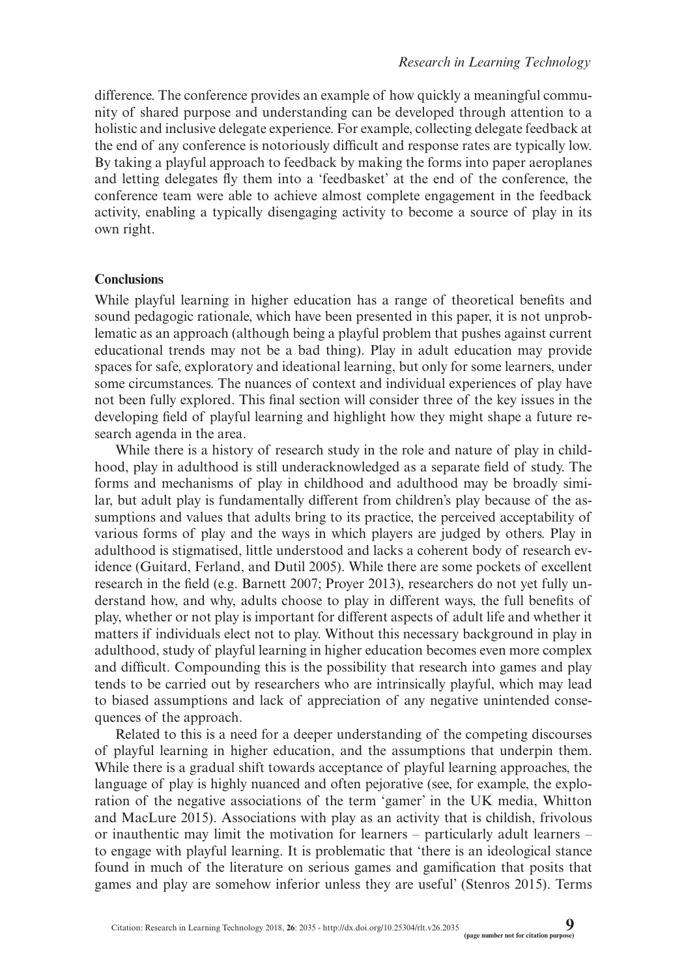difference. The conference provides an example of how quickly a meaningful community of shared purpose and understanding can be developed through attention to a holistic and inclusive delegate experience. For example, collecting delegate feedback at the end of any conference is notoriously difficult and response rates are typically low. By taking a playful approach to feedback by making the forms into paper aeroplanes and letting delegates fly them into a 'feedbasket' at the end of the conference, the conference team were able to achieve almost complete engagement in the feedback activity, enabling a typically disengaging activity to become a source of play in its own right.

# **Conclusions**

While playful learning in higher education has a range of theoretical benefits and sound pedagogic rationale, which have been presented in this paper, it is not unproblematic as an approach (although being a playful problem that pushes against current educational trends may not be a bad thing). Play in adult education may provide spaces for safe, exploratory and ideational learning, but only for some learners, under some circumstances. The nuances of context and individual experiences of play have not been fully explored. This final section will consider three of the key issues in the developing field of playful learning and highlight how they might shape a future research agenda in the area.

While there is a history of research study in the role and nature of play in childhood, play in adulthood is still underacknowledged as a separate field of study. The forms and mechanisms of play in childhood and adulthood may be broadly similar, but adult play is fundamentally different from children's play because of the assumptions and values that adults bring to its practice, the perceived acceptability of various forms of play and the ways in which players are judged by others. Play in adulthood is stigmatised, little understood and lacks a coherent body of research evidence (Guitard, Ferland, and Dutil 2005). While there are some pockets of excellent research in the field (e.g. Barnett 2007; Proyer 2013), researchers do not yet fully understand how, and why, adults choose to play in different ways, the full benefits of play, whether or not play is important for different aspects of adult life and whether it matters if individuals elect not to play. Without this necessary background in play in adulthood, study of playful learning in higher education becomes even more complex and difficult. Compounding this is the possibility that research into games and play tends to be carried out by researchers who are intrinsically playful, which may lead to biased assumptions and lack of appreciation of any negative unintended consequences of the approach.

Related to this is a need for a deeper understanding of the competing discourses of playful learning in higher education, and the assumptions that underpin them. While there is a gradual shift towards acceptance of playful learning approaches, the language of play is highly nuanced and often pejorative (see, for example, the exploration of the negative associations of the term 'gamer' in the UK media, Whitton and MacLure 2015). Associations with play as an activity that is childish, frivolous or inauthentic may limit the motivation for learners – particularly adult learners – to engage with playful learning. It is problematic that 'there is an ideological stance found in much of the literature on serious games and gamification that posits that games and play are somehow inferior unless they are useful' (Stenros 2015). Terms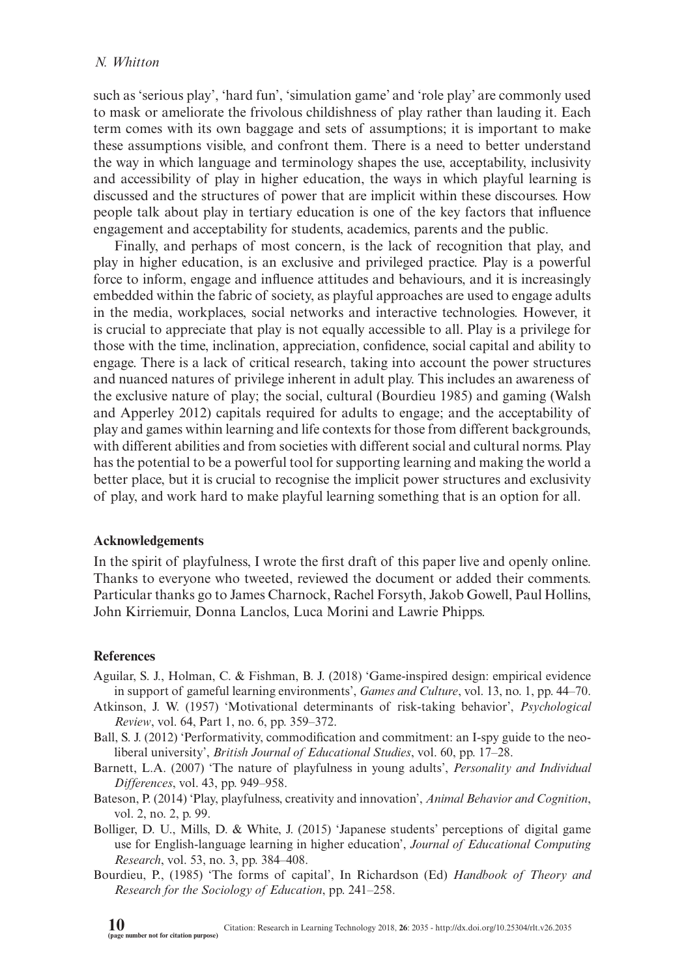such as 'serious play', 'hard fun', 'simulation game' and 'role play' are commonly used to mask or ameliorate the frivolous childishness of play rather than lauding it. Each term comes with its own baggage and sets of assumptions; it is important to make these assumptions visible, and confront them. There is a need to better understand the way in which language and terminology shapes the use, acceptability, inclusivity and accessibility of play in higher education, the ways in which playful learning is discussed and the structures of power that are implicit within these discourses. How people talk about play in tertiary education is one of the key factors that influence engagement and acceptability for students, academics, parents and the public.

Finally, and perhaps of most concern, is the lack of recognition that play, and play in higher education, is an exclusive and privileged practice. Play is a powerful force to inform, engage and influence attitudes and behaviours, and it is increasingly embedded within the fabric of society, as playful approaches are used to engage adults in the media, workplaces, social networks and interactive technologies. However, it is crucial to appreciate that play is not equally accessible to all. Play is a privilege for those with the time, inclination, appreciation, confidence, social capital and ability to engage. There is a lack of critical research, taking into account the power structures and nuanced natures of privilege inherent in adult play. This includes an awareness of the exclusive nature of play; the social, cultural (Bourdieu 1985) and gaming (Walsh and Apperley 2012) capitals required for adults to engage; and the acceptability of play and games within learning and life contexts for those from different backgrounds, with different abilities and from societies with different social and cultural norms. Play has the potential to be a powerful tool for supporting learning and making the world a better place, but it is crucial to recognise the implicit power structures and exclusivity of play, and work hard to make playful learning something that is an option for all.

#### **Acknowledgements**

In the spirit of playfulness, I wrote the first draft of this paper live and openly online. Thanks to everyone who tweeted, reviewed the document or added their comments. Particular thanks go to James Charnock, Rachel Forsyth, Jakob Gowell, Paul Hollins, John Kirriemuir, Donna Lanclos, Luca Morini and Lawrie Phipps.

#### **References**

- Aguilar, S. J., Holman, C. & Fishman, B. J. (2018) 'Game-inspired design: empirical evidence in support of gameful learning environments', *Games and Culture*, vol. 13, no. 1, pp. 44–70.
- Atkinson, J. W. (1957) 'Motivational determinants of risk-taking behavior', *Psychological Review*, vol. 64, Part 1, no. 6, pp. 359–372.
- Ball, S. J. (2012) 'Performativity, commodification and commitment: an I-spy guide to the neoliberal university', *British Journal of Educational Studies*, vol. 60, pp. 17–28.
- Barnett, L.A. (2007) 'The nature of playfulness in young adults', *Personality and Individual Differences*, vol. 43, pp. 949–958.
- Bateson, P. (2014) 'Play, playfulness, creativity and innovation', *Animal Behavior and Cognition*, vol. 2, no. 2, p. 99.
- Bolliger, D. U., Mills, D. & White, J. (2015) 'Japanese students' perceptions of digital game use for English-language learning in higher education', *Journal of Educational Computing Research*, vol. 53, no. 3, pp. 384–408.
- Bourdieu, P., (1985) 'The forms of capital', In Richardson (Ed) *Handbook of Theory and Research for the Sociology of Education*, pp. 241–258.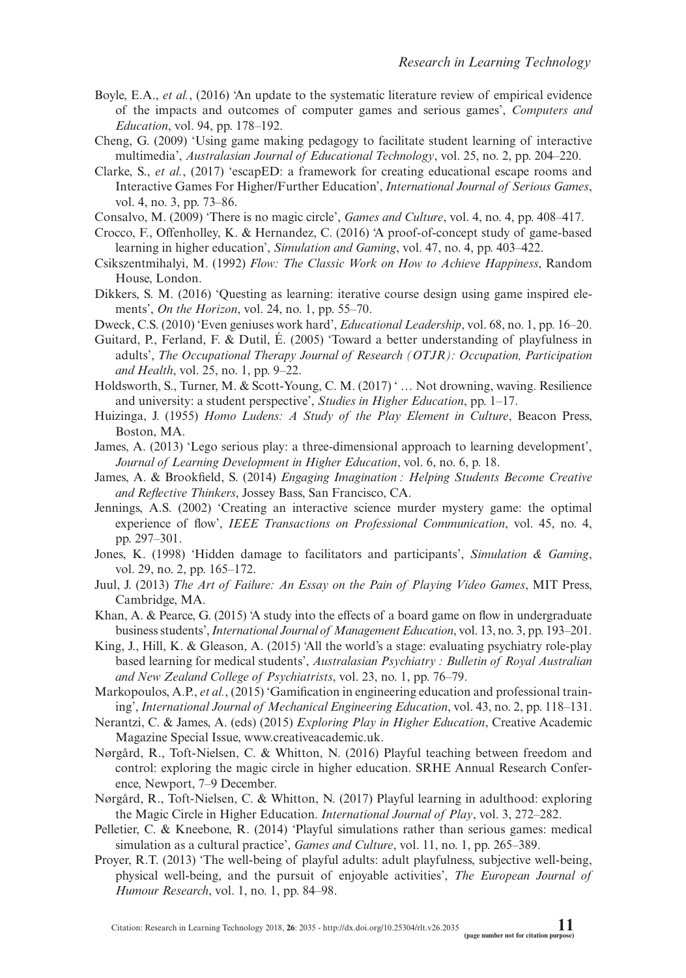- Boyle, E.A., *et al.*, (2016) 'An update to the systematic literature review of empirical evidence of the impacts and outcomes of computer games and serious games', *Computers and Education*, vol. 94, pp. 178–192.
- Cheng, G. (2009) 'Using game making pedagogy to facilitate student learning of interactive multimedia', *Australasian Journal of Educational Technology*, vol. 25, no. 2, pp. 204–220.
- Clarke, S., *et al.*, (2017) 'escapED: a framework for creating educational escape rooms and Interactive Games For Higher/Further Education', *International Journal of Serious Games*, vol. 4, no. 3, pp. 73–86.
- Consalvo, M. (2009) 'There is no magic circle', *Games and Culture*, vol. 4, no. 4, pp. 408–417.
- Crocco, F., Offenholley, K. & Hernandez, C. (2016) 'A proof-of-concept study of game-based learning in higher education', *Simulation and Gaming*, vol. 47, no. 4, pp. 403–422.
- Csikszentmihalyi, M. (1992) *Flow: The Classic Work on How to Achieve Happiness*, Random House, London.
- Dikkers, S. M. (2016) 'Questing as learning: iterative course design using game inspired elements', *On the Horizon*, vol. 24, no. 1, pp. 55–70.
- Dweck, C.S. (2010) 'Even geniuses work hard', *Educational Leadership*, vol. 68, no. 1, pp. 16–20.
- Guitard, P., Ferland, F. & Dutil, É. (2005) 'Toward a better understanding of playfulness in adults', *The Occupational Therapy Journal of Research (OTJR): Occupation, Participation and Health*, vol. 25, no. 1, pp. 9–22.
- Holdsworth, S., Turner, M. & Scott-Young, C. M. (2017) ' … Not drowning, waving. Resilience and university: a student perspective', *Studies in Higher Education*, pp. 1–17.
- Huizinga, J. (1955) *Homo Ludens: A Study of the Play Element in Culture*, Beacon Press, Boston, MA.
- James, A. (2013) 'Lego serious play: a three-dimensional approach to learning development', *Journal of Learning Development in Higher Education*, vol. 6, no. 6, p. 18.
- James, A. & Brookfield, S. (2014) *Engaging Imagination : Helping Students Become Creative and Reflective Thinkers*, Jossey Bass, San Francisco, CA.
- Jennings, A.S. (2002) 'Creating an interactive science murder mystery game: the optimal experience of flow', *IEEE Transactions on Professional Communication*, vol. 45, no. 4, pp. 297–301.
- Jones, K. (1998) 'Hidden damage to facilitators and participants', *Simulation & Gaming*, vol. 29, no. 2, pp. 165–172.
- Juul, J. (2013) *The Art of Failure: An Essay on the Pain of Playing Video Games*, MIT Press, Cambridge, MA.
- Khan, A. & Pearce, G. (2015) 'A study into the effects of a board game on flow in undergraduate business students', *International Journal of Management Education*, vol. 13, no. 3, pp. 193–201.
- King, J., Hill, K. & Gleason, A. (2015) 'All the world's a stage: evaluating psychiatry role-play based learning for medical students', *Australasian Psychiatry : Bulletin of Royal Australian and New Zealand College of Psychiatrists*, vol. 23, no. 1, pp. 76–79.
- Markopoulos, A.P., *et al.*, (2015) 'Gamification in engineering education and professional training', *International Journal of Mechanical Engineering Education*, vol. 43, no. 2, pp. 118–131.
- Nerantzi, C. & James, A. (eds) (2015) *Exploring Play in Higher Education*, Creative Academic Magazine Special Issue, [www.creativeacademic.uk.](http://www.creativeacademic.uk)
- Nørgård, R., Toft-Nielsen, C. & Whitton, N. (2016) Playful teaching between freedom and control: exploring the magic circle in higher education. SRHE Annual Research Conference, Newport, 7–9 December.
- Nørgård, R., Toft-Nielsen, C. & Whitton, N. (2017) Playful learning in adulthood: exploring the Magic Circle in Higher Education. *International Journal of Play*, vol. 3, 272–282.
- Pelletier, C. & Kneebone, R. (2014) 'Playful simulations rather than serious games: medical simulation as a cultural practice', *Games and Culture*, vol. 11, no. 1, pp. 265–389.
- Proyer, R.T. (2013) 'The well-being of playful adults: adult playfulness, subjective well-being, physical well-being, and the pursuit of enjoyable activities', *The European Journal of Humour Research*, vol. 1, no. 1, pp. 84–98.